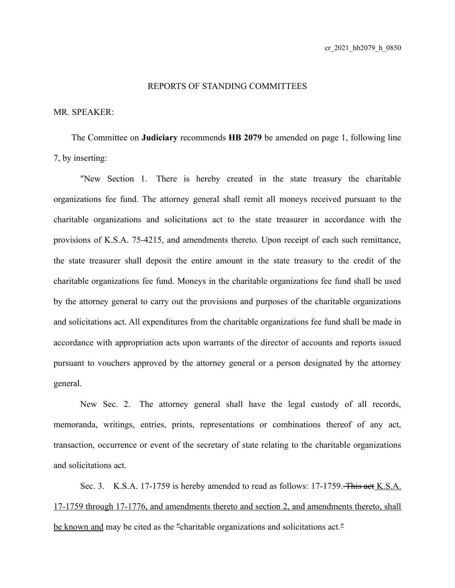## REPORTS OF STANDING COMMITTEES

## MR. SPEAKER:

The Committee on **Judiciary** recommends **HB 2079** be amended on page 1, following line 7, by inserting:

"New Section 1. There is hereby created in the state treasury the charitable organizations fee fund. The attorney general shall remit all moneys received pursuant to the charitable organizations and solicitations act to the state treasurer in accordance with the provisions of K.S.A. 75-4215, and amendments thereto. Upon receipt of each such remittance, the state treasurer shall deposit the entire amount in the state treasury to the credit of the charitable organizations fee fund. Moneys in the charitable organizations fee fund shall be used by the attorney general to carry out the provisions and purposes of the charitable organizations and solicitations act. All expenditures from the charitable organizations fee fund shall be made in accordance with appropriation acts upon warrants of the director of accounts and reports issued pursuant to vouchers approved by the attorney general or a person designated by the attorney general.

New Sec. 2. The attorney general shall have the legal custody of all records, memoranda, writings, entries, prints, representations or combinations thereof of any act, transaction, occurrence or event of the secretary of state relating to the charitable organizations and solicitations act.

Sec. 3. K.S.A. 17-1759 is hereby amended to read as follows: 17-1759. This act K.S.A. 17-1759 through 17-1776, and amendments thereto and section 2, and amendments thereto, shall be known and may be cited as the "charitable organizations and solicitations act."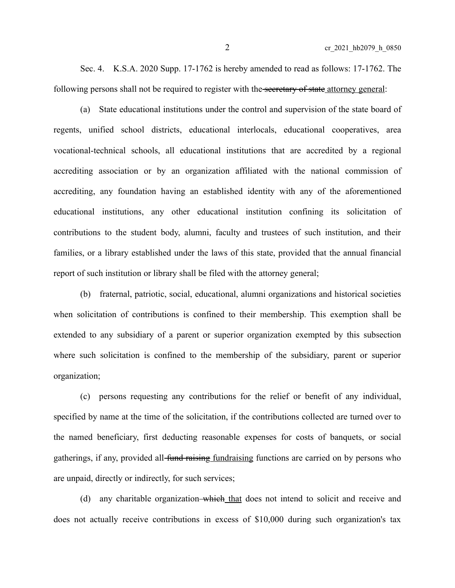Sec. 4. K.S.A. 2020 Supp. 17-1762 is hereby amended to read as follows: 17-1762. The following persons shall not be required to register with the secretary of state attorney general:

(a) State educational institutions under the control and supervision of the state board of regents, unified school districts, educational interlocals, educational cooperatives, area vocational-technical schools, all educational institutions that are accredited by a regional accrediting association or by an organization affiliated with the national commission of accrediting, any foundation having an established identity with any of the aforementioned educational institutions, any other educational institution confining its solicitation of contributions to the student body, alumni, faculty and trustees of such institution, and their families, or a library established under the laws of this state, provided that the annual financial report of such institution or library shall be filed with the attorney general;

(b) fraternal, patriotic, social, educational, alumni organizations and historical societies when solicitation of contributions is confined to their membership. This exemption shall be extended to any subsidiary of a parent or superior organization exempted by this subsection where such solicitation is confined to the membership of the subsidiary, parent or superior organization;

(c) persons requesting any contributions for the relief or benefit of any individual, specified by name at the time of the solicitation, if the contributions collected are turned over to the named beneficiary, first deducting reasonable expenses for costs of banquets, or social gatherings, if any, provided all fund raising fundraising functions are carried on by persons who are unpaid, directly or indirectly, for such services;

(d) any charitable organization—which that does not intend to solicit and receive and does not actually receive contributions in excess of \$10,000 during such organization's tax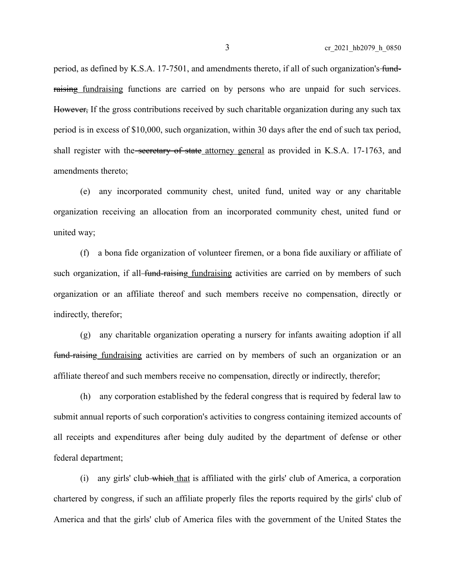period, as defined by K.S.A. 17-7501, and amendments thereto, if all of such organization's fundraising fundraising functions are carried on by persons who are unpaid for such services. However, If the gross contributions received by such charitable organization during any such tax period is in excess of \$10,000, such organization, within 30 days after the end of such tax period, shall register with the secretary of state attorney general as provided in K.S.A. 17-1763, and amendments thereto;

(e) any incorporated community chest, united fund, united way or any charitable organization receiving an allocation from an incorporated community chest, united fund or united way;

(f) a bona fide organization of volunteer firemen, or a bona fide auxiliary or affiliate of such organization, if all fund-raising fundraising activities are carried on by members of such organization or an affiliate thereof and such members receive no compensation, directly or indirectly, therefor;

(g) any charitable organization operating a nursery for infants awaiting adoption if all fund-raising fundraising activities are carried on by members of such an organization or an affiliate thereof and such members receive no compensation, directly or indirectly, therefor;

(h) any corporation established by the federal congress that is required by federal law to submit annual reports of such corporation's activities to congress containing itemized accounts of all receipts and expenditures after being duly audited by the department of defense or other federal department;

(i) any girls' club which that is affiliated with the girls' club of America, a corporation chartered by congress, if such an affiliate properly files the reports required by the girls' club of America and that the girls' club of America files with the government of the United States the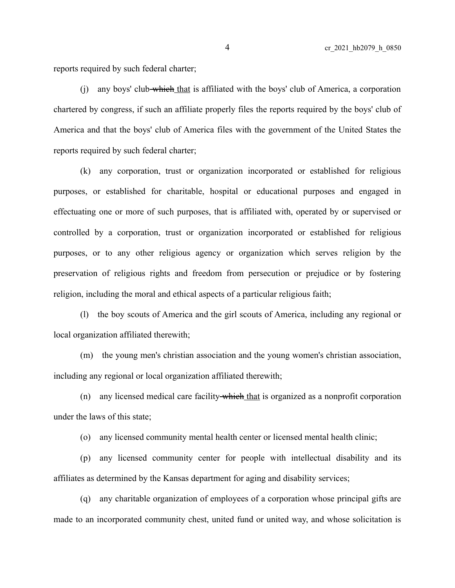reports required by such federal charter;

(i) any boys' club which that is affiliated with the boys' club of America, a corporation chartered by congress, if such an affiliate properly files the reports required by the boys' club of America and that the boys' club of America files with the government of the United States the reports required by such federal charter;

(k) any corporation, trust or organization incorporated or established for religious purposes, or established for charitable, hospital or educational purposes and engaged in effectuating one or more of such purposes, that is affiliated with, operated by or supervised or controlled by a corporation, trust or organization incorporated or established for religious purposes, or to any other religious agency or organization which serves religion by the preservation of religious rights and freedom from persecution or prejudice or by fostering religion, including the moral and ethical aspects of a particular religious faith;

(l) the boy scouts of America and the girl scouts of America, including any regional or local organization affiliated therewith;

(m) the young men's christian association and the young women's christian association, including any regional or local organization affiliated therewith;

(n) any licensed medical care facility which that is organized as a nonprofit corporation under the laws of this state;

(o) any licensed community mental health center or licensed mental health clinic;

(p) any licensed community center for people with intellectual disability and its affiliates as determined by the Kansas department for aging and disability services;

(q) any charitable organization of employees of a corporation whose principal gifts are made to an incorporated community chest, united fund or united way, and whose solicitation is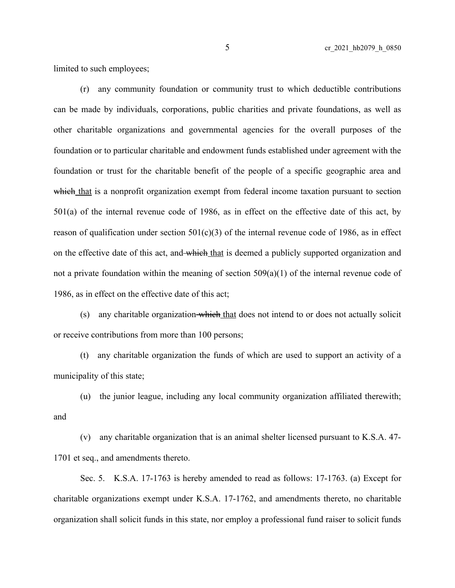limited to such employees;

(r) any community foundation or community trust to which deductible contributions can be made by individuals, corporations, public charities and private foundations, as well as other charitable organizations and governmental agencies for the overall purposes of the foundation or to particular charitable and endowment funds established under agreement with the foundation or trust for the charitable benefit of the people of a specific geographic area and which that is a nonprofit organization exempt from federal income taxation pursuant to section 501(a) of the internal revenue code of 1986, as in effect on the effective date of this act, by reason of qualification under section  $501(c)(3)$  of the internal revenue code of 1986, as in effect on the effective date of this act, and which that is deemed a publicly supported organization and not a private foundation within the meaning of section  $509(a)(1)$  of the internal revenue code of 1986, as in effect on the effective date of this act;

(s) any charitable organization-which that does not intend to or does not actually solicit or receive contributions from more than 100 persons;

(t) any charitable organization the funds of which are used to support an activity of a municipality of this state;

(u) the junior league, including any local community organization affiliated therewith; and

(v) any charitable organization that is an animal shelter licensed pursuant to K.S.A. 47- 1701 et seq., and amendments thereto.

Sec. 5. K.S.A. 17-1763 is hereby amended to read as follows: 17-1763. (a) Except for charitable organizations exempt under K.S.A. 17-1762, and amendments thereto, no charitable organization shall solicit funds in this state, nor employ a professional fund raiser to solicit funds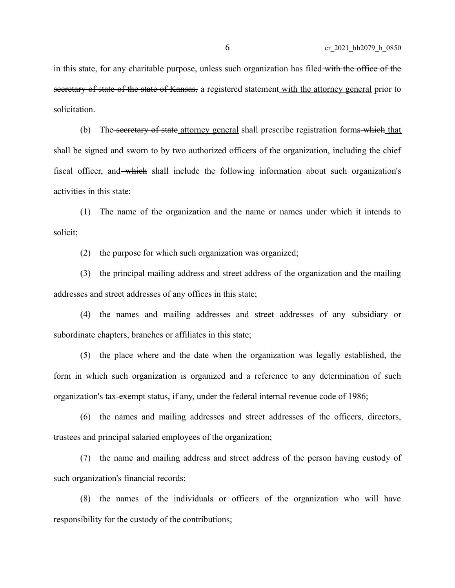in this state, for any charitable purpose, unless such organization has filed with the office of the secretary of state of the state of Kansas, a registered statement with the attorney general prior to solicitation.

(b) The secretary of state attorney general shall prescribe registration forms which that shall be signed and sworn to by two authorized officers of the organization, including the chief fiscal officer, and which shall include the following information about such organization's activities in this state:

(1) The name of the organization and the name or names under which it intends to solicit;

(2) the purpose for which such organization was organized;

(3) the principal mailing address and street address of the organization and the mailing addresses and street addresses of any offices in this state;

(4) the names and mailing addresses and street addresses of any subsidiary or subordinate chapters, branches or affiliates in this state;

(5) the place where and the date when the organization was legally established, the form in which such organization is organized and a reference to any determination of such organization's tax-exempt status, if any, under the federal internal revenue code of 1986;

(6) the names and mailing addresses and street addresses of the officers, directors, trustees and principal salaried employees of the organization;

(7) the name and mailing address and street address of the person having custody of such organization's financial records;

(8) the names of the individuals or officers of the organization who will have responsibility for the custody of the contributions;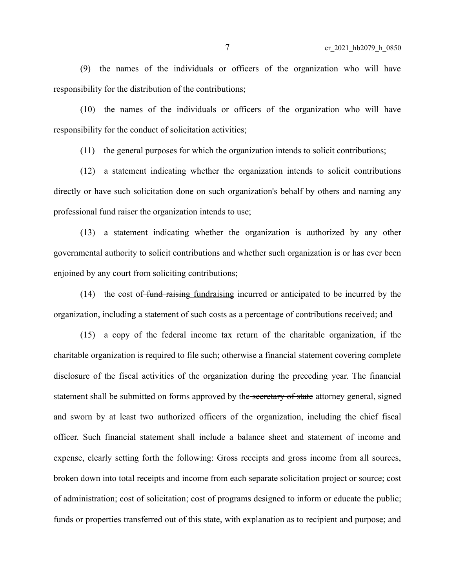(9) the names of the individuals or officers of the organization who will have responsibility for the distribution of the contributions;

(10) the names of the individuals or officers of the organization who will have responsibility for the conduct of solicitation activities;

(11) the general purposes for which the organization intends to solicit contributions;

(12) a statement indicating whether the organization intends to solicit contributions directly or have such solicitation done on such organization's behalf by others and naming any professional fund raiser the organization intends to use;

(13) a statement indicating whether the organization is authorized by any other governmental authority to solicit contributions and whether such organization is or has ever been enjoined by any court from soliciting contributions;

(14) the cost of fund raising fundraising incurred or anticipated to be incurred by the organization, including a statement of such costs as a percentage of contributions received; and

(15) a copy of the federal income tax return of the charitable organization, if the charitable organization is required to file such; otherwise a financial statement covering complete disclosure of the fiscal activities of the organization during the preceding year. The financial statement shall be submitted on forms approved by the secretary of state attorney general, signed and sworn by at least two authorized officers of the organization, including the chief fiscal officer. Such financial statement shall include a balance sheet and statement of income and expense, clearly setting forth the following: Gross receipts and gross income from all sources, broken down into total receipts and income from each separate solicitation project or source; cost of administration; cost of solicitation; cost of programs designed to inform or educate the public; funds or properties transferred out of this state, with explanation as to recipient and purpose; and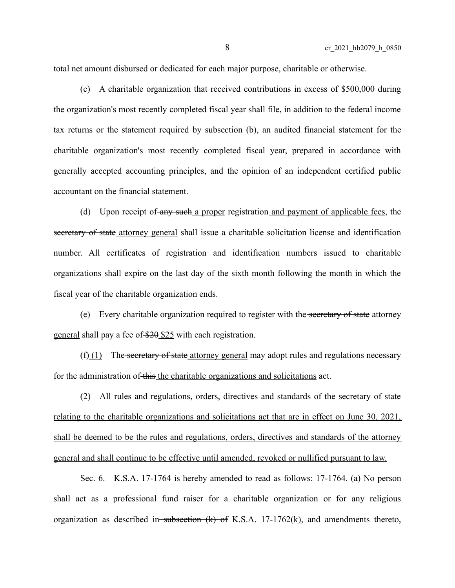total net amount disbursed or dedicated for each major purpose, charitable or otherwise.

(c) A charitable organization that received contributions in excess of \$500,000 during the organization's most recently completed fiscal year shall file, in addition to the federal income tax returns or the statement required by subsection (b), an audited financial statement for the charitable organization's most recently completed fiscal year, prepared in accordance with generally accepted accounting principles, and the opinion of an independent certified public accountant on the financial statement.

(d) Upon receipt of any such a proper registration and payment of applicable fees, the secretary of state attorney general shall issue a charitable solicitation license and identification number. All certificates of registration and identification numbers issued to charitable organizations shall expire on the last day of the sixth month following the month in which the fiscal year of the charitable organization ends.

(e) Every charitable organization required to register with the secretary of state attorney general shall pay a fee of \$20 \$25 with each registration.

 $(f)$  (1) The secretary of state attorney general may adopt rules and regulations necessary for the administration of this the charitable organizations and solicitations act.

(2) All rules and regulations, orders, directives and standards of the secretary of state relating to the charitable organizations and solicitations act that are in effect on June 30, 2021, shall be deemed to be the rules and regulations, orders, directives and standards of the attorney general and shall continue to be effective until amended, revoked or nullified pursuant to law.

Sec. 6. K.S.A. 17-1764 is hereby amended to read as follows: 17-1764. (a) No person shall act as a professional fund raiser for a charitable organization or for any religious organization as described in subsection  $(k)$  of K.S.A. 17-1762 $(k)$ , and amendments thereto,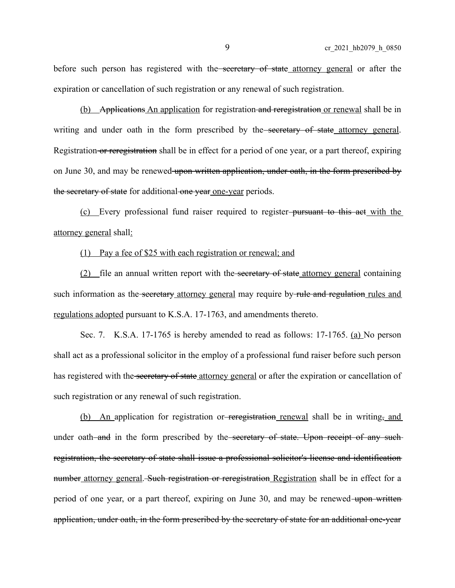before such person has registered with the secretary of state attorney general or after the expiration or cancellation of such registration or any renewal of such registration.

(b) Applications An application for registration and reregistration or renewal shall be in writing and under oath in the form prescribed by the secretary of state attorney general. Registration or reregistration shall be in effect for a period of one year, or a part thereof, expiring on June 30, and may be renewed upon written application, under oath, in the form prescribed by the secretary of state for additional one year one-year periods.

(c) Every professional fund raiser required to register pursuant to this act with the attorney general shall:

## (1) Pay a fee of \$25 with each registration or renewal; and

(2) file an annual written report with the secretary of state attorney general containing such information as the secretary attorney general may require by rule and regulation rules and regulations adopted pursuant to K.S.A. 17-1763, and amendments thereto.

Sec. 7. K.S.A. 17-1765 is hereby amended to read as follows: 17-1765. (a) No person shall act as a professional solicitor in the employ of a professional fund raiser before such person has registered with the secretary of state attorney general or after the expiration or cancellation of such registration or any renewal of such registration.

(b) An application for registration or reception renewal shall be in writing, and under oath—and in the form prescribed by the—secretary of state. Upon receipt of any suchregistration, the secretary of state shall issue a professional solicitor's license and identification number attorney general. Such registration or reregistration Registration shall be in effect for a period of one year, or a part thereof, expiring on June 30, and may be renewed upon written application, under oath, in the form prescribed by the secretary of state for an additional one-year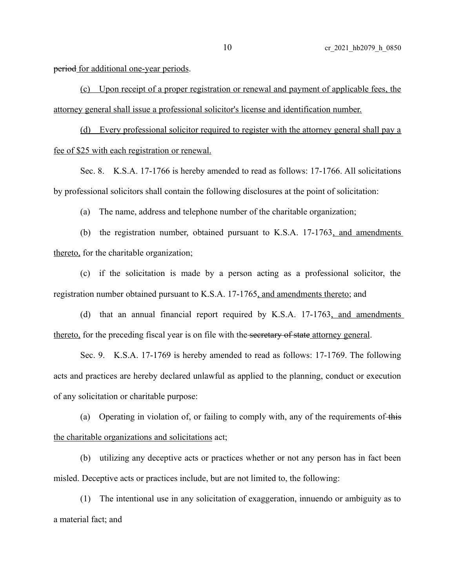period for additional one-year periods.

(c) Upon receipt of a proper registration or renewal and payment of applicable fees, the attorney general shall issue a professional solicitor's license and identification number.

(d) Every professional solicitor required to register with the attorney general shall pay a fee of \$25 with each registration or renewal.

Sec. 8. K.S.A. 17-1766 is hereby amended to read as follows: 17-1766. All solicitations by professional solicitors shall contain the following disclosures at the point of solicitation:

(a) The name, address and telephone number of the charitable organization;

(b) the registration number, obtained pursuant to K.S.A. 17-1763, and amendments thereto, for the charitable organization;

(c) if the solicitation is made by a person acting as a professional solicitor, the registration number obtained pursuant to K.S.A. 17-1765, and amendments thereto; and

(d) that an annual financial report required by K.S.A. 17-1763, and amendments thereto, for the preceding fiscal year is on file with the secretary of state attorney general.

Sec. 9. K.S.A. 17-1769 is hereby amended to read as follows: 17-1769. The following acts and practices are hereby declared unlawful as applied to the planning, conduct or execution of any solicitation or charitable purpose:

(a) Operating in violation of, or failing to comply with, any of the requirements of this the charitable organizations and solicitations act;

(b) utilizing any deceptive acts or practices whether or not any person has in fact been misled. Deceptive acts or practices include, but are not limited to, the following:

(1) The intentional use in any solicitation of exaggeration, innuendo or ambiguity as to a material fact; and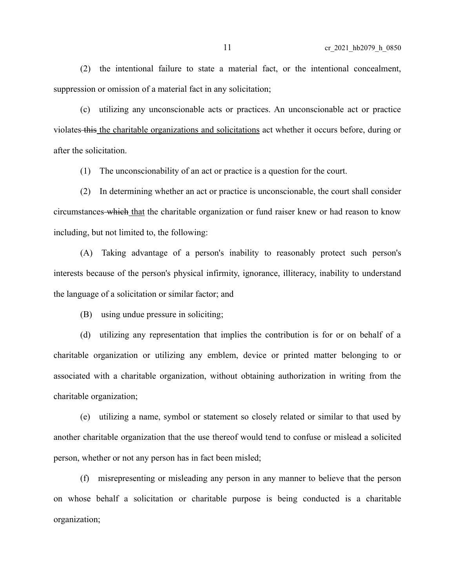(2) the intentional failure to state a material fact, or the intentional concealment, suppression or omission of a material fact in any solicitation;

(c) utilizing any unconscionable acts or practices. An unconscionable act or practice violates this the charitable organizations and solicitations act whether it occurs before, during or after the solicitation.

(1) The unconscionability of an act or practice is a question for the court.

(2) In determining whether an act or practice is unconscionable, the court shall consider circumstances which that the charitable organization or fund raiser knew or had reason to know including, but not limited to, the following:

(A) Taking advantage of a person's inability to reasonably protect such person's interests because of the person's physical infirmity, ignorance, illiteracy, inability to understand the language of a solicitation or similar factor; and

(B) using undue pressure in soliciting;

(d) utilizing any representation that implies the contribution is for or on behalf of a charitable organization or utilizing any emblem, device or printed matter belonging to or associated with a charitable organization, without obtaining authorization in writing from the charitable organization;

(e) utilizing a name, symbol or statement so closely related or similar to that used by another charitable organization that the use thereof would tend to confuse or mislead a solicited person, whether or not any person has in fact been misled;

(f) misrepresenting or misleading any person in any manner to believe that the person on whose behalf a solicitation or charitable purpose is being conducted is a charitable organization;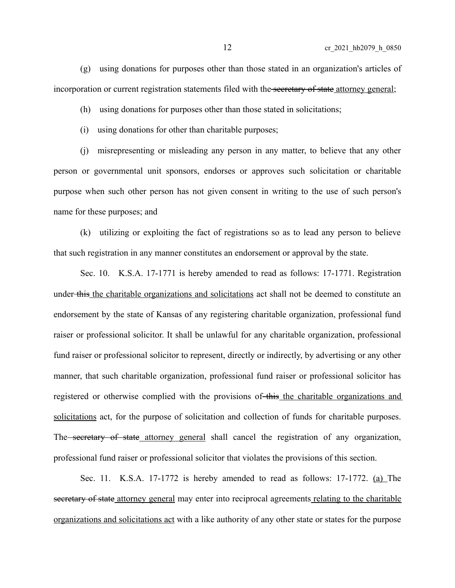(g) using donations for purposes other than those stated in an organization's articles of incorporation or current registration statements filed with the secretary of state attorney general;

(h) using donations for purposes other than those stated in solicitations;

(i) using donations for other than charitable purposes;

(j) misrepresenting or misleading any person in any matter, to believe that any other person or governmental unit sponsors, endorses or approves such solicitation or charitable purpose when such other person has not given consent in writing to the use of such person's name for these purposes; and

(k) utilizing or exploiting the fact of registrations so as to lead any person to believe that such registration in any manner constitutes an endorsement or approval by the state.

Sec. 10. K.S.A. 17-1771 is hereby amended to read as follows: 17-1771. Registration under this the charitable organizations and solicitations act shall not be deemed to constitute an endorsement by the state of Kansas of any registering charitable organization, professional fund raiser or professional solicitor. It shall be unlawful for any charitable organization, professional fund raiser or professional solicitor to represent, directly or indirectly, by advertising or any other manner, that such charitable organization, professional fund raiser or professional solicitor has registered or otherwise complied with the provisions of this the charitable organizations and solicitations act, for the purpose of solicitation and collection of funds for charitable purposes. The secretary of state attorney general shall cancel the registration of any organization, professional fund raiser or professional solicitor that violates the provisions of this section.

Sec. 11. K.S.A. 17-1772 is hereby amended to read as follows: 17-1772. (a) The secretary of state attorney general may enter into reciprocal agreements relating to the charitable organizations and solicitations act with a like authority of any other state or states for the purpose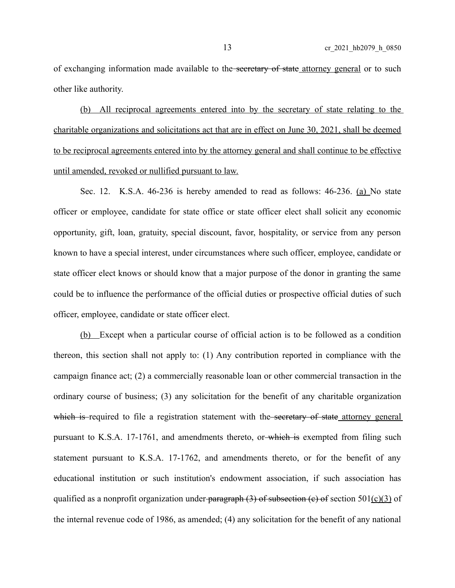of exchanging information made available to the secretary of state attorney general or to such other like authority.

(b) All reciprocal agreements entered into by the secretary of state relating to the charitable organizations and solicitations act that are in effect on June 30, 2021, shall be deemed to be reciprocal agreements entered into by the attorney general and shall continue to be effective until amended, revoked or nullified pursuant to law.

Sec. 12. K.S.A. 46-236 is hereby amended to read as follows: 46-236. (a) No state officer or employee, candidate for state office or state officer elect shall solicit any economic opportunity, gift, loan, gratuity, special discount, favor, hospitality, or service from any person known to have a special interest, under circumstances where such officer, employee, candidate or state officer elect knows or should know that a major purpose of the donor in granting the same could be to influence the performance of the official duties or prospective official duties of such officer, employee, candidate or state officer elect.

(b) Except when a particular course of official action is to be followed as a condition thereon, this section shall not apply to: (1) Any contribution reported in compliance with the campaign finance act; (2) a commercially reasonable loan or other commercial transaction in the ordinary course of business; (3) any solicitation for the benefit of any charitable organization which is required to file a registration statement with the secretary of state attorney general pursuant to K.S.A. 17-1761, and amendments thereto, or which is exempted from filing such statement pursuant to K.S.A. 17-1762, and amendments thereto, or for the benefit of any educational institution or such institution's endowment association, if such association has qualified as a nonprofit organization under paragraph  $(3)$  of subsection  $(e)$  of section 501 $(c)(3)$  of the internal revenue code of 1986, as amended; (4) any solicitation for the benefit of any national